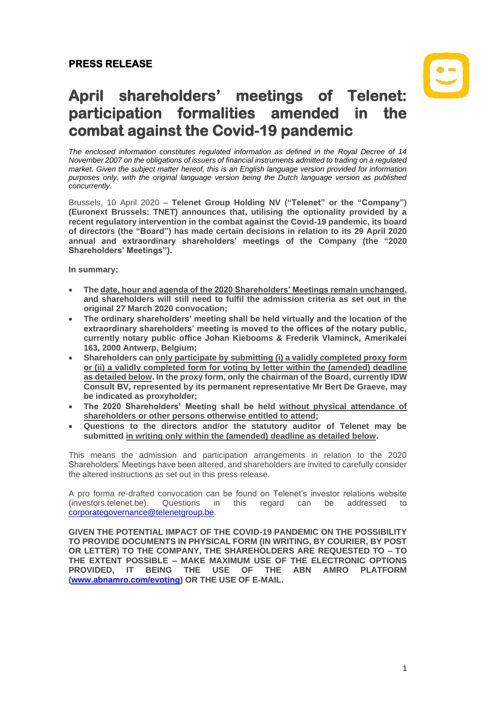## **PRESS RELEASE**

# **April shareholders' meetings of Telenet: participation formalities amended in the combat against the Covid-19 pandemic**

*The enclosed information constitutes regulated information as defined in the Royal Decree of 14 November 2007 on the obligations of issuers of financial instruments admitted to trading on a regulated market. Given the subject matter hereof, this is an English language version provided for information purposes only, with the original language version being the Dutch language version as published concurrently.*

Brussels, 10 April 2020 – **Telenet Group Holding NV ("Telenet" or the "Company") (Euronext Brussels: TNET) announces that, utilising the optionality provided by a recent regulatory intervention in the combat against the Covid-19 pandemic, its board of directors (the "Board") has made certain decisions in relation to its 29 April 2020 annual and extraordinary shareholders' meetings of the Company (the "2020 Shareholders' Meetings").**

**In summary:**

- **The date, hour and agenda of the 2020 Shareholders' Meetings remain unchanged, and shareholders will still need to fulfil the admission criteria as set out in the original 27 March 2020 convocation;**
- **The ordinary shareholders' meeting shall be held virtually and the location of the extraordinary shareholders' meeting is moved to the offices of the notary public, currently notary public office Johan Kiebooms & Frederik Vlaminck, Amerikalei 163, 2000 Antwerp, Belgium;**
- **Shareholders can only participate by submitting (i) a validly completed proxy form or (ii) a validly completed form for voting by letter within the (amended) deadline as detailed below. In the proxy form, only the chairman of the Board, currently IDW Consult BV, represented by its permanent representative Mr Bert De Graeve, may be indicated as proxyholder;**
- **The 2020 Shareholders' Meeting shall be held without physical attendance of shareholders or other persons otherwise entitled to attend;**
- **Questions to the directors and/or the statutory auditor of Telenet may be submitted in writing only within the (amended) deadline as detailed below.**

This means the admission and participation arrangements in relation to the 2020 Shareholders' Meetings have been altered, and shareholders are invited to carefully consider the altered instructions as set out in this press release.

A pro forma re-drafted convocation can be found on Telenet's investor relations website (investors.telenet.be). Questions in this regard can be addressed to [corporategovernance@telenetgroup.be.](mailto:corporategovernance@telenetgroup.be)

**GIVEN THE POTENTIAL IMPACT OF THE COVID-19 PANDEMIC ON THE POSSIBILITY TO PROVIDE DOCUMENTS IN PHYSICAL FORM (IN WRITING, BY COURIER, BY POST OR LETTER) TO THE COMPANY, THE SHAREHOLDERS ARE REQUESTED TO – TO THE EXTENT POSSIBLE – MAKE MAXIMUM USE OF THE ELECTRONIC OPTIONS PROVIDED, IT BEING THE USE OF THE ABN AMRO PLATFORM [\(www.abnamro.com/evoting\)](http://www.abnamro.com/evoting) OR THE USE OF E-MAIL.**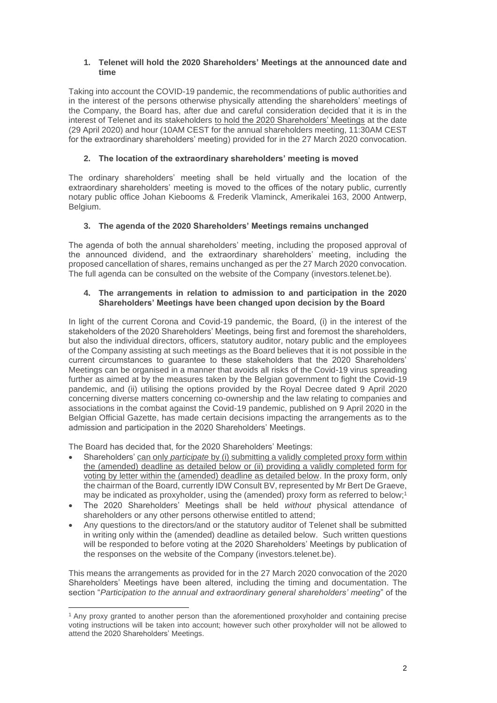#### **1. Telenet will hold the 2020 Shareholders' Meetings at the announced date and time**

Taking into account the COVID-19 pandemic, the recommendations of public authorities and in the interest of the persons otherwise physically attending the shareholders' meetings of the Company, the Board has, after due and careful consideration decided that it is in the interest of Telenet and its stakeholders to hold the 2020 Shareholders' Meetings at the date (29 April 2020) and hour (10AM CEST for the annual shareholders meeting, 11:30AM CEST for the extraordinary shareholders' meeting) provided for in the 27 March 2020 convocation.

#### **2. The location of the extraordinary shareholders' meeting is moved**

The ordinary shareholders' meeting shall be held virtually and the location of the extraordinary shareholders' meeting is moved to the offices of the notary public, currently notary public office Johan Kiebooms & Frederik Vlaminck, Amerikalei 163, 2000 Antwerp, Belgium.

### **3. The agenda of the 2020 Shareholders' Meetings remains unchanged**

The agenda of both the annual shareholders' meeting, including the proposed approval of the announced dividend, and the extraordinary shareholders' meeting, including the proposed cancellation of shares, remains unchanged as per the 27 March 2020 convocation. The full agenda can be consulted on the website of the Company (investors.telenet.be).

#### **4. The arrangements in relation to admission to and participation in the 2020 Shareholders' Meetings have been changed upon decision by the Board**

In light of the current Corona and Covid-19 pandemic, the Board, (i) in the interest of the stakeholders of the 2020 Shareholders' Meetings, being first and foremost the shareholders, but also the individual directors, officers, statutory auditor, notary public and the employees of the Company assisting at such meetings as the Board believes that it is not possible in the current circumstances to guarantee to these stakeholders that the 2020 Shareholders' Meetings can be organised in a manner that avoids all risks of the Covid-19 virus spreading further as aimed at by the measures taken by the Belgian government to fight the Covid-19 pandemic, and (ii) utilising the options provided by the Royal Decree dated 9 April 2020 concerning diverse matters concerning co-ownership and the law relating to companies and associations in the combat against the Covid-19 pandemic, published on 9 April 2020 in the Belgian Official Gazette, has made certain decisions impacting the arrangements as to the admission and participation in the 2020 Shareholders' Meetings.

The Board has decided that, for the 2020 Shareholders' Meetings:

- Shareholders' can only *participate* by (i) submitting a validly completed proxy form within the (amended) deadline as detailed below or (ii) providing a validly completed form for voting by letter within the (amended) deadline as detailed below. In the proxy form, only the chairman of the Board, currently IDW Consult BV, represented by Mr Bert De Graeve, may be indicated as proxyholder, using the (amended) proxy form as referred to below;<sup>1</sup>
- The 2020 Shareholders' Meetings shall be held *without* physical attendance of shareholders or any other persons otherwise entitled to attend;
- Any questions to the directors/and or the statutory auditor of Telenet shall be submitted in writing only within the (amended) deadline as detailed below. Such written questions will be responded to before voting at the 2020 Shareholders' Meetings by publication of the responses on the website of the Company (investors.telenet.be).

This means the arrangements as provided for in the 27 March 2020 convocation of the 2020 Shareholders' Meetings have been altered, including the timing and documentation. The section "*Participation to the annual and extraordinary general shareholders' meeting*" of the

<sup>1</sup> Any proxy granted to another person than the aforementioned proxyholder and containing precise voting instructions will be taken into account; however such other proxyholder will not be allowed to attend the 2020 Shareholders' Meetings.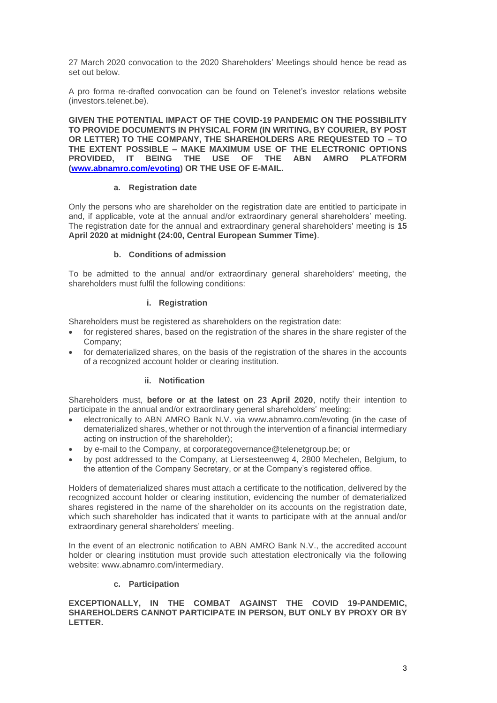27 March 2020 convocation to the 2020 Shareholders' Meetings should hence be read as set out below.

A pro forma re-drafted convocation can be found on Telenet's investor relations website (investors.telenet.be).

**GIVEN THE POTENTIAL IMPACT OF THE COVID-19 PANDEMIC ON THE POSSIBILITY TO PROVIDE DOCUMENTS IN PHYSICAL FORM (IN WRITING, BY COURIER, BY POST OR LETTER) TO THE COMPANY, THE SHAREHOLDERS ARE REQUESTED TO – TO THE EXTENT POSSIBLE – MAKE MAXIMUM USE OF THE ELECTRONIC OPTIONS PROVIDED, IT BEING THE USE OF THE ABN AMRO PLATFORM [\(www.abnamro.com/evoting\)](http://www.abnamro.com/evoting) OR THE USE OF E-MAIL.**

#### **a. Registration date**

Only the persons who are shareholder on the registration date are entitled to participate in and, if applicable, vote at the annual and/or extraordinary general shareholders' meeting. The registration date for the annual and extraordinary general shareholders' meeting is **15 April 2020 at midnight (24:00, Central European Summer Time)**.

#### **b. Conditions of admission**

To be admitted to the annual and/or extraordinary general shareholders' meeting, the shareholders must fulfil the following conditions:

#### **i. Registration**

Shareholders must be registered as shareholders on the registration date:

- for registered shares, based on the registration of the shares in the share register of the Company;
- for dematerialized shares, on the basis of the registration of the shares in the accounts of a recognized account holder or clearing institution.

#### **ii. Notification**

Shareholders must, **before or at the latest on 23 April 2020**, notify their intention to participate in the annual and/or extraordinary general shareholders' meeting:

- electronically to ABN AMRO Bank N.V. via www.abnamro.com/evoting (in the case of dematerialized shares, whether or not through the intervention of a financial intermediary acting on instruction of the shareholder);
- by e-mail to the Company, at corporategovernance@telenetgroup.be; or
- by post addressed to the Company, at Liersesteenweg 4, 2800 Mechelen, Belgium, to the attention of the Company Secretary, or at the Company's registered office.

Holders of dematerialized shares must attach a certificate to the notification, delivered by the recognized account holder or clearing institution, evidencing the number of dematerialized shares registered in the name of the shareholder on its accounts on the registration date, which such shareholder has indicated that it wants to participate with at the annual and/or extraordinary general shareholders' meeting.

In the event of an electronic notification to ABN AMRO Bank N.V., the accredited account holder or clearing institution must provide such attestation electronically via the following website: www.abnamro.com/intermediary.

#### **c. Participation**

**EXCEPTIONALLY, IN THE COMBAT AGAINST THE COVID 19-PANDEMIC, SHAREHOLDERS CANNOT PARTICIPATE IN PERSON, BUT ONLY BY PROXY OR BY LETTER.**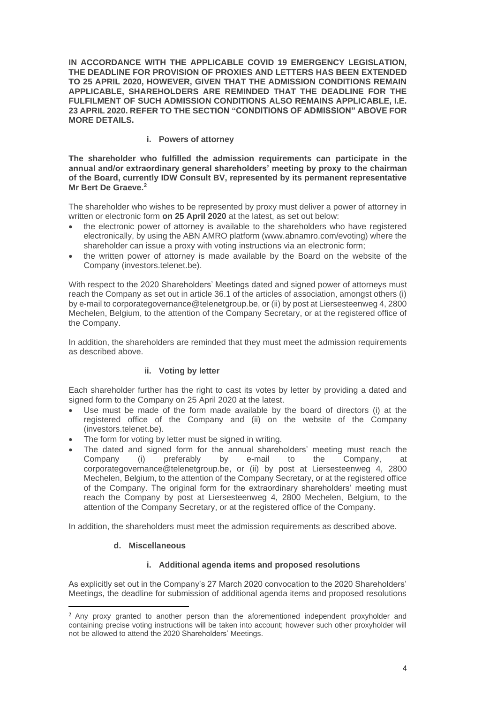**IN ACCORDANCE WITH THE APPLICABLE COVID 19 EMERGENCY LEGISLATION, THE DEADLINE FOR PROVISION OF PROXIES AND LETTERS HAS BEEN EXTENDED TO 25 APRIL 2020, HOWEVER, GIVEN THAT THE ADMISSION CONDITIONS REMAIN APPLICABLE, SHAREHOLDERS ARE REMINDED THAT THE DEADLINE FOR THE FULFILMENT OF SUCH ADMISSION CONDITIONS ALSO REMAINS APPLICABLE, I.E. 23 APRIL 2020. REFER TO THE SECTION "CONDITIONS OF ADMISSION" ABOVE FOR MORE DETAILS.**

#### **i. Powers of attorney**

**The shareholder who fulfilled the admission requirements can participate in the annual and/or extraordinary general shareholders' meeting by proxy to the chairman of the Board, currently IDW Consult BV, represented by its permanent representative Mr Bert De Graeve. 2**

The shareholder who wishes to be represented by proxy must deliver a power of attorney in written or electronic form **on 25 April 2020** at the latest, as set out below:

- the electronic power of attorney is available to the shareholders who have registered electronically, by using the ABN AMRO platform (www.abnamro.com/evoting) where the shareholder can issue a proxy with voting instructions via an electronic form;
- the written power of attorney is made available by the Board on the website of the Company (investors.telenet.be).

With respect to the 2020 Shareholders' Meetings dated and signed power of attorneys must reach the Company as set out in article 36.1 of the articles of association, amongst others (i) by e-mail to corporategovernance@telenetgroup.be, or (ii) by post at Liersesteenweg 4, 2800 Mechelen, Belgium, to the attention of the Company Secretary, or at the registered office of the Company.

In addition, the shareholders are reminded that they must meet the admission requirements as described above.

#### **ii. Voting by letter**

Each shareholder further has the right to cast its votes by letter by providing a dated and signed form to the Company on 25 April 2020 at the latest.

- Use must be made of the form made available by the board of directors (i) at the registered office of the Company and (ii) on the website of the Company (investors.telenet.be).
- The form for voting by letter must be signed in writing.
- The dated and signed form for the annual shareholders' meeting must reach the Company (i) preferably by e-mail to the Company, at corporategovernance@telenetgroup.be, or (ii) by post at Liersesteenweg 4, 2800 Mechelen, Belgium, to the attention of the Company Secretary, or at the registered office of the Company. The original form for the extraordinary shareholders' meeting must reach the Company by post at Liersesteenweg 4, 2800 Mechelen, Belgium, to the attention of the Company Secretary, or at the registered office of the Company.

In addition, the shareholders must meet the admission requirements as described above.

#### **d. Miscellaneous**

#### **i. Additional agenda items and proposed resolutions**

As explicitly set out in the Company's 27 March 2020 convocation to the 2020 Shareholders' Meetings, the deadline for submission of additional agenda items and proposed resolutions

<sup>&</sup>lt;sup>2</sup> Any proxy granted to another person than the aforementioned independent proxyholder and containing precise voting instructions will be taken into account; however such other proxyholder will not be allowed to attend the 2020 Shareholders' Meetings.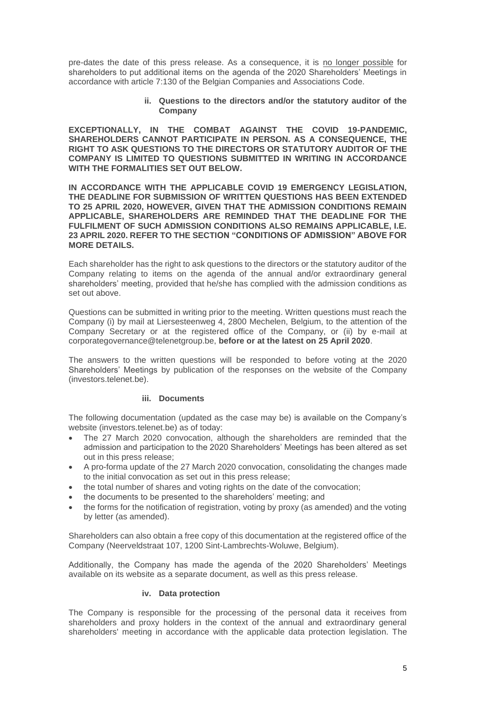pre-dates the date of this press release. As a consequence, it is no longer possible for shareholders to put additional items on the agenda of the 2020 Shareholders' Meetings in accordance with article 7:130 of the Belgian Companies and Associations Code.

#### **ii. Questions to the directors and/or the statutory auditor of the Company**

**EXCEPTIONALLY, IN THE COMBAT AGAINST THE COVID 19-PANDEMIC, SHAREHOLDERS CANNOT PARTICIPATE IN PERSON. AS A CONSEQUENCE, THE RIGHT TO ASK QUESTIONS TO THE DIRECTORS OR STATUTORY AUDITOR OF THE COMPANY IS LIMITED TO QUESTIONS SUBMITTED IN WRITING IN ACCORDANCE WITH THE FORMALITIES SET OUT BELOW.**

**IN ACCORDANCE WITH THE APPLICABLE COVID 19 EMERGENCY LEGISLATION, THE DEADLINE FOR SUBMISSION OF WRITTEN QUESTIONS HAS BEEN EXTENDED TO 25 APRIL 2020, HOWEVER, GIVEN THAT THE ADMISSION CONDITIONS REMAIN APPLICABLE, SHAREHOLDERS ARE REMINDED THAT THE DEADLINE FOR THE FULFILMENT OF SUCH ADMISSION CONDITIONS ALSO REMAINS APPLICABLE, I.E. 23 APRIL 2020. REFER TO THE SECTION "CONDITIONS OF ADMISSION" ABOVE FOR MORE DETAILS.**

Each shareholder has the right to ask questions to the directors or the statutory auditor of the Company relating to items on the agenda of the annual and/or extraordinary general shareholders' meeting, provided that he/she has complied with the admission conditions as set out above.

Questions can be submitted in writing prior to the meeting. Written questions must reach the Company (i) by mail at Liersesteenweg 4, 2800 Mechelen, Belgium, to the attention of the Company Secretary or at the registered office of the Company, or (ii) by e-mail at corporategovernance@telenetgroup.be, **before or at the latest on 25 April 2020**.

The answers to the written questions will be responded to before voting at the 2020 Shareholders' Meetings by publication of the responses on the website of the Company (investors.telenet.be).

#### **iii. Documents**

The following documentation (updated as the case may be) is available on the Company's website (investors.telenet.be) as of today:

- The 27 March 2020 convocation, although the shareholders are reminded that the admission and participation to the 2020 Shareholders' Meetings has been altered as set out in this press release;
- A pro-forma update of the 27 March 2020 convocation, consolidating the changes made to the initial convocation as set out in this press release;
- the total number of shares and voting rights on the date of the convocation;
- the documents to be presented to the shareholders' meeting; and
- the forms for the notification of registration, voting by proxy (as amended) and the voting by letter (as amended).

Shareholders can also obtain a free copy of this documentation at the registered office of the Company (Neerveldstraat 107, 1200 Sint-Lambrechts-Woluwe, Belgium).

Additionally, the Company has made the agenda of the 2020 Shareholders' Meetings available on its website as a separate document, as well as this press release.

#### **iv. Data protection**

The Company is responsible for the processing of the personal data it receives from shareholders and proxy holders in the context of the annual and extraordinary general shareholders' meeting in accordance with the applicable data protection legislation. The